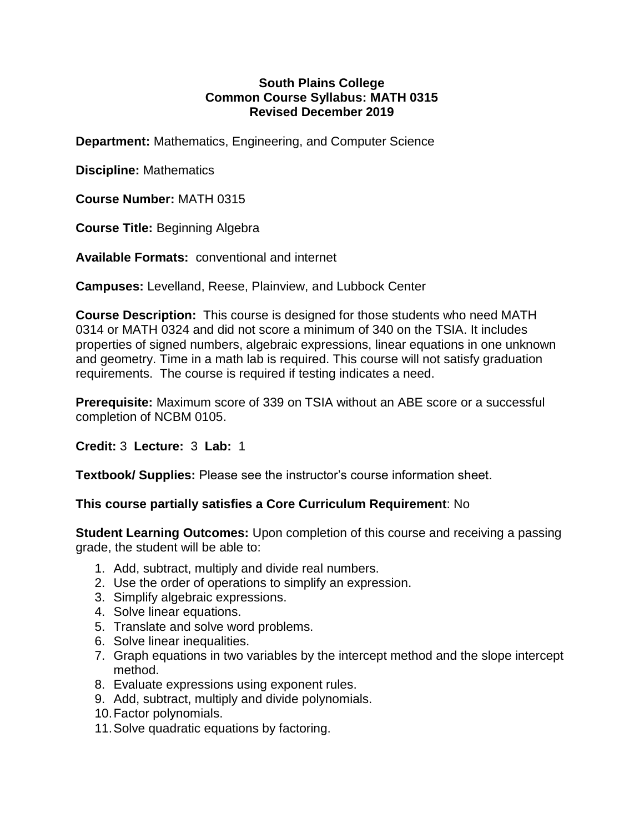#### **South Plains College Common Course Syllabus: MATH 0315 Revised December 2019**

**Department:** Mathematics, Engineering, and Computer Science

**Discipline:** Mathematics

**Course Number:** MATH 0315

**Course Title:** Beginning Algebra

**Available Formats:** conventional and internet

**Campuses:** Levelland, Reese, Plainview, and Lubbock Center

**Course Description:** This course is designed for those students who need MATH 0314 or MATH 0324 and did not score a minimum of 340 on the TSIA. It includes properties of signed numbers, algebraic expressions, linear equations in one unknown and geometry. Time in a math lab is required. This course will not satisfy graduation requirements. The course is required if testing indicates a need.

**Prerequisite:** Maximum score of 339 on TSIA without an ABE score or a successful completion of NCBM 0105.

### **Credit:** 3 **Lecture:** 3 **Lab:** 1

**Textbook/ Supplies:** Please see the instructor's course information sheet.

# **This course partially satisfies a Core Curriculum Requirement**: No

**Student Learning Outcomes:** Upon completion of this course and receiving a passing grade, the student will be able to:

- 1. Add, subtract, multiply and divide real numbers.
- 2. Use the order of operations to simplify an expression.
- 3. Simplify algebraic expressions.
- 4. Solve linear equations.
- 5. Translate and solve word problems.
- 6. Solve linear inequalities.
- 7. Graph equations in two variables by the intercept method and the slope intercept method.
- 8. Evaluate expressions using exponent rules.
- 9. Add, subtract, multiply and divide polynomials.
- 10.Factor polynomials.
- 11.Solve quadratic equations by factoring.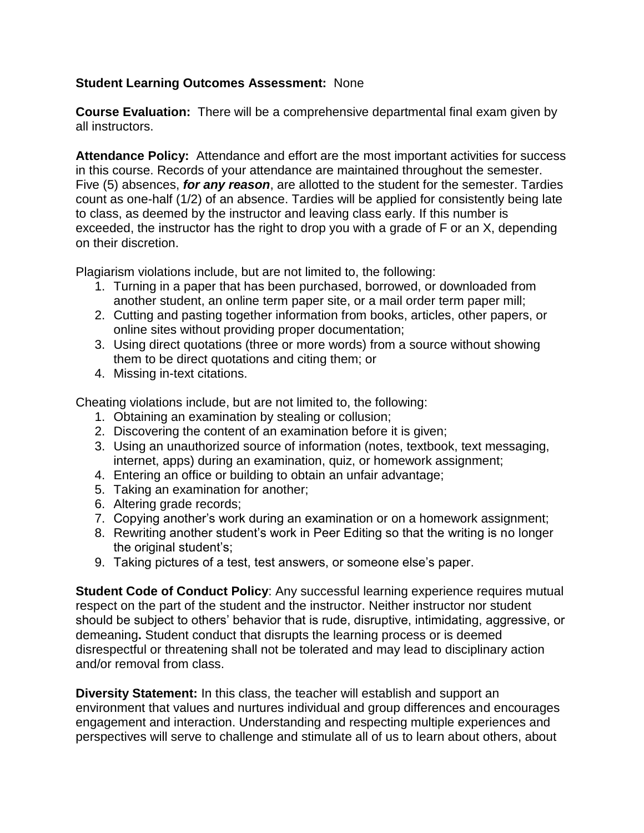## **Student Learning Outcomes Assessment:** None

**Course Evaluation:** There will be a comprehensive departmental final exam given by all instructors.

**Attendance Policy:** Attendance and effort are the most important activities for success in this course. Records of your attendance are maintained throughout the semester. Five (5) absences, *for any reason*, are allotted to the student for the semester. Tardies count as one-half (1/2) of an absence. Tardies will be applied for consistently being late to class, as deemed by the instructor and leaving class early. If this number is exceeded, the instructor has the right to drop you with a grade of F or an X, depending on their discretion.

Plagiarism violations include, but are not limited to, the following:

- 1. Turning in a paper that has been purchased, borrowed, or downloaded from another student, an online term paper site, or a mail order term paper mill;
- 2. Cutting and pasting together information from books, articles, other papers, or online sites without providing proper documentation;
- 3. Using direct quotations (three or more words) from a source without showing them to be direct quotations and citing them; or
- 4. Missing in-text citations.

Cheating violations include, but are not limited to, the following:

- 1. Obtaining an examination by stealing or collusion;
- 2. Discovering the content of an examination before it is given;
- 3. Using an unauthorized source of information (notes, textbook, text messaging, internet, apps) during an examination, quiz, or homework assignment;
- 4. Entering an office or building to obtain an unfair advantage;
- 5. Taking an examination for another;
- 6. Altering grade records;
- 7. Copying another's work during an examination or on a homework assignment;
- 8. Rewriting another student's work in Peer Editing so that the writing is no longer the original student's;
- 9. Taking pictures of a test, test answers, or someone else's paper.

**Student Code of Conduct Policy**: Any successful learning experience requires mutual respect on the part of the student and the instructor. Neither instructor nor student should be subject to others' behavior that is rude, disruptive, intimidating, aggressive, or demeaning**.** Student conduct that disrupts the learning process or is deemed disrespectful or threatening shall not be tolerated and may lead to disciplinary action and/or removal from class.

**Diversity Statement:** In this class, the teacher will establish and support an environment that values and nurtures individual and group differences and encourages engagement and interaction. Understanding and respecting multiple experiences and perspectives will serve to challenge and stimulate all of us to learn about others, about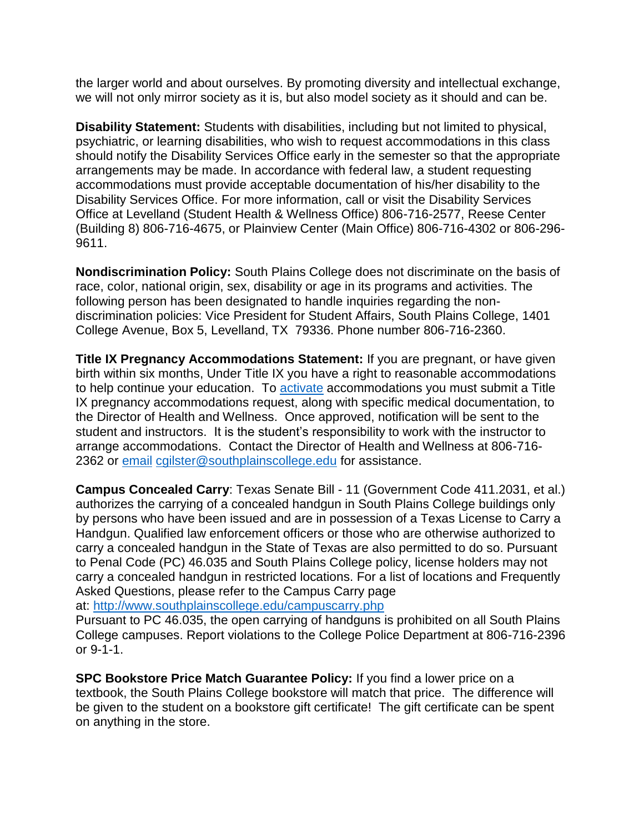the larger world and about ourselves. By promoting diversity and intellectual exchange, we will not only mirror society as it is, but also model society as it should and can be.

**Disability Statement:** Students with disabilities, including but not limited to physical, psychiatric, or learning disabilities, who wish to request accommodations in this class should notify the Disability Services Office early in the semester so that the appropriate arrangements may be made. In accordance with federal law, a student requesting accommodations must provide acceptable documentation of his/her disability to the Disability Services Office. For more information, call or visit the Disability Services Office at Levelland (Student Health & Wellness Office) 806-716-2577, Reese Center (Building 8) 806-716-4675, or Plainview Center (Main Office) 806-716-4302 or 806-296- 9611.

**Nondiscrimination Policy:** South Plains College does not discriminate on the basis of race, color, national origin, sex, disability or age in its programs and activities. The following person has been designated to handle inquiries regarding the nondiscrimination policies: Vice President for Student Affairs, South Plains College, 1401 College Avenue, Box 5, Levelland, TX 79336. Phone number 806-716-2360.

**Title IX Pregnancy Accommodations Statement:** If you are pregnant, or have given birth within six months, Under Title IX you have a right to reasonable accommodations to help continue your education. To [activate](http://www.southplainscollege.edu/employees/manualshandbooks/facultyhandbook/sec4.php) accommodations you must submit a Title IX pregnancy accommodations request, along with specific medical documentation, to the Director of Health and Wellness. Once approved, notification will be sent to the student and instructors. It is the student's responsibility to work with the instructor to arrange accommodations. Contact the Director of Health and Wellness at 806-716- 2362 or [email](http://www.southplainscollege.edu/employees/manualshandbooks/facultyhandbook/sec4.php) [cgilster@southplainscollege.edu](mailto:cgilster@southplainscollege.edu) for assistance.

**Campus Concealed Carry**: Texas Senate Bill - 11 (Government Code 411.2031, et al.) authorizes the carrying of a concealed handgun in South Plains College buildings only by persons who have been issued and are in possession of a Texas License to Carry a Handgun. Qualified law enforcement officers or those who are otherwise authorized to carry a concealed handgun in the State of Texas are also permitted to do so. Pursuant to Penal Code (PC) 46.035 and South Plains College policy, license holders may not carry a concealed handgun in restricted locations. For a list of locations and Frequently Asked Questions, please refer to the Campus Carry page

```
at: http://www.southplainscollege.edu/campuscarry.php
```
Pursuant to PC 46.035, the open carrying of handguns is prohibited on all South Plains College campuses. Report violations to the College Police Department at 806-716-2396 or 9-1-1.

**SPC Bookstore Price Match Guarantee Policy:** If you find a lower price on a textbook, the South Plains College bookstore will match that price. The difference will be given to the student on a bookstore gift certificate! The gift certificate can be spent on anything in the store.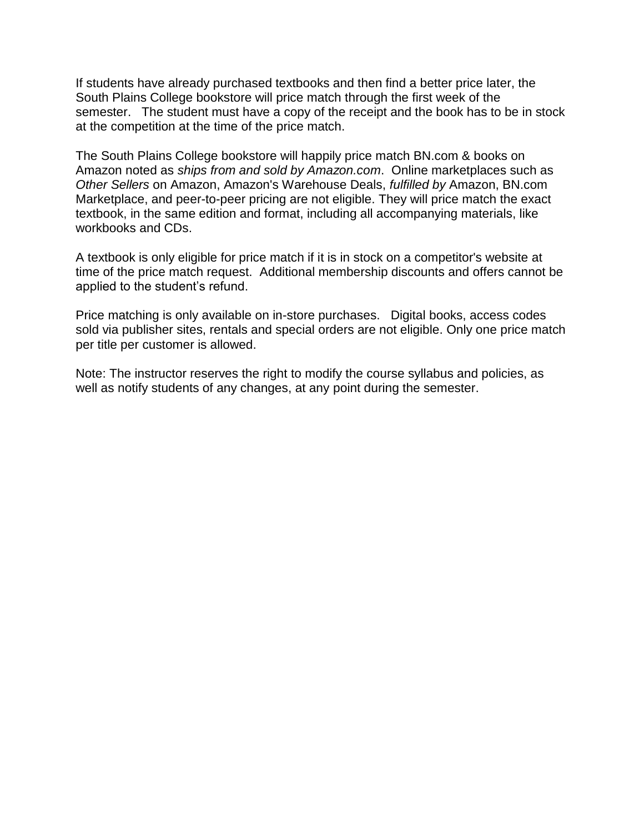If students have already purchased textbooks and then find a better price later, the South Plains College bookstore will price match through the first week of the semester. The student must have a copy of the receipt and the book has to be in stock at the competition at the time of the price match.

The South Plains College bookstore will happily price match BN.com & books on Amazon noted as *ships from and sold by Amazon.com*. Online marketplaces such as *Other Sellers* on Amazon, Amazon's Warehouse Deals, *fulfilled by* Amazon, BN.com Marketplace, and peer-to-peer pricing are not eligible. They will price match the exact textbook, in the same edition and format, including all accompanying materials, like workbooks and CDs.

A textbook is only eligible for price match if it is in stock on a competitor's website at time of the price match request. Additional membership discounts and offers cannot be applied to the student's refund.

Price matching is only available on in-store purchases. Digital books, access codes sold via publisher sites, rentals and special orders are not eligible. Only one price match per title per customer is allowed.

Note: The instructor reserves the right to modify the course syllabus and policies, as well as notify students of any changes, at any point during the semester.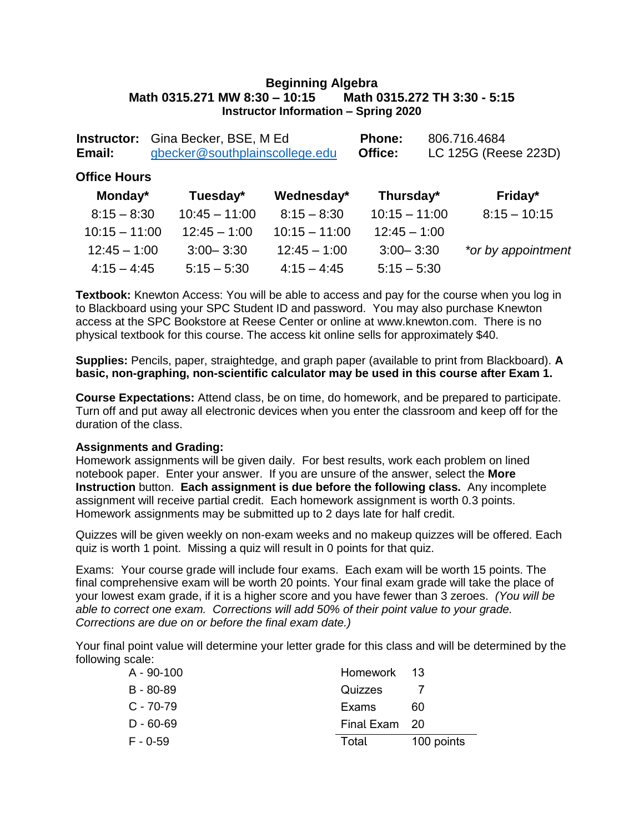#### **Beginning Algebra Math 0315.271 MW 8:30 – 10:15 Math 0315.272 TH 3:30 - 5:15 Instructor Information – Spring 2020**

| Email:              | <b>Instructor:</b> Gina Becker, BSE, M Ed<br>gbecker@southplainscollege.edu |                 | <b>Phone:</b><br>Office: | 806.716.4684<br>LC 125G (Reese 223D) |
|---------------------|-----------------------------------------------------------------------------|-----------------|--------------------------|--------------------------------------|
| <b>Office Hours</b> |                                                                             |                 |                          |                                      |
| Monday*             | Tuesday*                                                                    | Wednesday*      | Thursday*                | Friday*                              |
| $8:15 - 8:30$       | $10:45 - 11:00$                                                             | $8:15 - 8:30$   | $10:15 - 11:00$          | $8:15 - 10:15$                       |
| $10:15 - 11:00$     | $12:45 - 1:00$                                                              | $10:15 - 11:00$ | $12:45 - 1:00$           |                                      |
| $12:45 - 1:00$      | $3:00 - 3:30$                                                               | $12:45 - 1:00$  | $3:00 - 3:30$            | *or by appointment                   |
| $4:15 - 4:45$       | $5:15 - 5:30$                                                               | $4:15 - 4:45$   | $5:15 - 5:30$            |                                      |

**Textbook:** Knewton Access: You will be able to access and pay for the course when you log in to Blackboard using your SPC Student ID and password. You may also purchase Knewton access at the SPC Bookstore at Reese Center or online at [www.knewton.com.](http://www.knewton.com/) There is no physical textbook for this course. The access kit online sells for approximately \$40.

**Supplies:** Pencils, paper, straightedge, and graph paper (available to print from Blackboard). **A basic, non-graphing, non-scientific calculator may be used in this course after Exam 1.**

**Course Expectations:** Attend class, be on time, do homework, and be prepared to participate. Turn off and put away all electronic devices when you enter the classroom and keep off for the duration of the class.

#### **Assignments and Grading:**

Homework assignments will be given daily. For best results, work each problem on lined notebook paper. Enter your answer. If you are unsure of the answer, select the **More Instruction** button. **Each assignment is due before the following class.** Any incomplete assignment will receive partial credit. Each homework assignment is worth 0.3 points. Homework assignments may be submitted up to 2 days late for half credit.

Quizzes will be given weekly on non-exam weeks and no makeup quizzes will be offered. Each quiz is worth 1 point. Missing a quiz will result in 0 points for that quiz.

Exams: Your course grade will include four exams. Each exam will be worth 15 points. The final comprehensive exam will be worth 20 points. Your final exam grade will take the place of your lowest exam grade, if it is a higher score and you have fewer than 3 zeroes. *(You will be able to correct one exam. Corrections will add 50% of their point value to your grade. Corrections are due on or before the final exam date.)*

Your final point value will determine your letter grade for this class and will be determined by the following scale:

| $A - 90 - 100$ | Homework 13   |            |
|----------------|---------------|------------|
| $B - 80 - 89$  | Quizzes       |            |
| $C - 70-79$    | Exams         | 60         |
| $D - 60 - 69$  | Final Exam 20 |            |
| $F - 0.59$     | Total         | 100 points |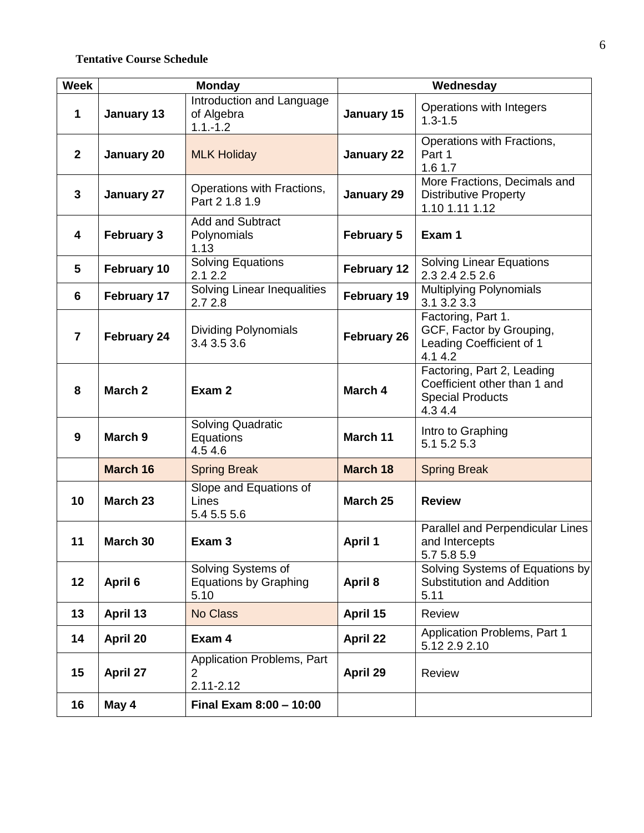## **Tentative Course Schedule**

| <b>Week</b>    | <b>Monday</b>      |                                                               | Wednesday          |                                                                                                 |  |
|----------------|--------------------|---------------------------------------------------------------|--------------------|-------------------------------------------------------------------------------------------------|--|
| 1              | January 13         | Introduction and Language<br>of Algebra<br>$1.1 - 1.2$        | January 15         | Operations with Integers<br>$1.3 - 1.5$                                                         |  |
| $\mathbf{2}$   | January 20         | <b>MLK Holiday</b>                                            | <b>January 22</b>  | Operations with Fractions,<br>Part 1<br>1.6 1.7                                                 |  |
| 3              | January 27         | Operations with Fractions,<br>Part 2 1.8 1.9                  | <b>January 29</b>  | More Fractions, Decimals and<br><b>Distributive Property</b><br>1.10 1.11 1.12                  |  |
| 4              | <b>February 3</b>  | <b>Add and Subtract</b><br>Polynomials<br>1.13                | <b>February 5</b>  | Exam 1                                                                                          |  |
| 5              | February 10        | <b>Solving Equations</b><br>2.12.2                            | February 12        | <b>Solving Linear Equations</b><br>2.3 2.4 2.5 2.6                                              |  |
| 6              | February 17        | Solving Linear Inequalities<br>2.72.8                         | February 19        | <b>Multiplying Polynomials</b><br>3.1 3.2 3.3                                                   |  |
| $\overline{7}$ | February 24        | <b>Dividing Polynomials</b><br>3.4 3.5 3.6                    | <b>February 26</b> | Factoring, Part 1.<br>GCF, Factor by Grouping,<br>Leading Coefficient of 1<br>4.1 4.2           |  |
| 8              | March <sub>2</sub> | Exam 2                                                        | March 4            | Factoring, Part 2, Leading<br>Coefficient other than 1 and<br><b>Special Products</b><br>4.34.4 |  |
| 9              | March 9            | <b>Solving Quadratic</b><br>Equations<br>4.54.6               | March 11           | Intro to Graphing<br>5.1 5.2 5.3                                                                |  |
|                | March 16           | <b>Spring Break</b>                                           | <b>March 18</b>    | <b>Spring Break</b>                                                                             |  |
| 10             | March 23           | Slope and Equations of<br>Lines<br>5.4 5.5 5.6                | March 25           | <b>Review</b>                                                                                   |  |
| 11             | March 30           | Exam <sub>3</sub>                                             | <b>April 1</b>     | Parallel and Perpendicular Lines<br>and Intercepts<br>5.7 5.8 5.9                               |  |
| 12             | April 6            | Solving Systems of<br><b>Equations by Graphing</b><br>5.10    | April 8            | Solving Systems of Equations by<br><b>Substitution and Addition</b><br>5.11                     |  |
| 13             | April 13           | <b>No Class</b>                                               | April 15           | <b>Review</b>                                                                                   |  |
| 14             | April 20           | Exam 4                                                        | <b>April 22</b>    | Application Problems, Part 1<br>5.12 2.9 2.10                                                   |  |
| 15             | April 27           | Application Problems, Part<br>$\overline{2}$<br>$2.11 - 2.12$ | April 29           | Review                                                                                          |  |
| 16             | May 4              | Final Exam 8:00 - 10:00                                       |                    |                                                                                                 |  |